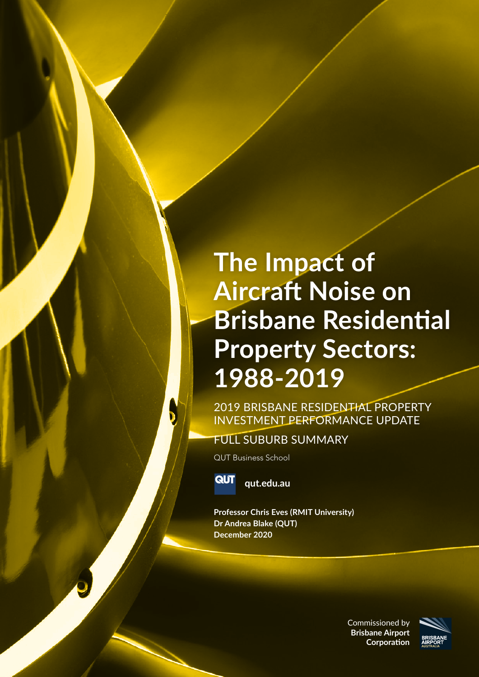### **The Impact of Aircraft Noise on Brisbane Residential Property Sectors: 1988-2019**

2019 BRISBANE RESIDENTIAL PROPERTY INVESTMENT PERFORMANCE UPDATE

FULL SUBURB SUMMARY

QUT Business School



**qut.edu.au**

**Professor Chris Eves (RMIT University) Dr Andrea Blake (QUT) December 2020**

> Commissioned by **Brisbane Airport Corporation**

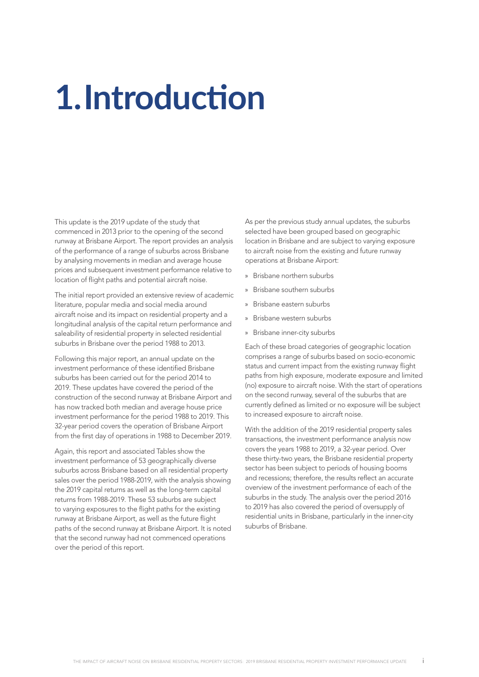# **1.Introduction**

This update is the 2019 update of the study that commenced in 2013 prior to the opening of the second runway at Brisbane Airport. The report provides an analysis of the performance of a range of suburbs across Brisbane by analysing movements in median and average house prices and subsequent investment performance relative to location of flight paths and potential aircraft noise.

The initial report provided an extensive review of academic literature, popular media and social media around aircraft noise and its impact on residential property and a longitudinal analysis of the capital return performance and saleability of residential property in selected residential suburbs in Brisbane over the period 1988 to 2013.

Following this major report, an annual update on the investment performance of these identified Brisbane suburbs has been carried out for the period 2014 to 2019. These updates have covered the period of the construction of the second runway at Brisbane Airport and has now tracked both median and average house price investment performance for the period 1988 to 2019. This 32-year period covers the operation of Brisbane Airport from the first day of operations in 1988 to December 2019.

Again, this report and associated Tables show the investment performance of 53 geographically diverse suburbs across Brisbane based on all residential property sales over the period 1988-2019, with the analysis showing the 2019 capital returns as well as the long-term capital returns from 1988-2019. These 53 suburbs are subject to varying exposures to the flight paths for the existing runway at Brisbane Airport, as well as the future flight paths of the second runway at Brisbane Airport. It is noted that the second runway had not commenced operations over the period of this report.

As per the previous study annual updates, the suburbs selected have been grouped based on geographic location in Brisbane and are subject to varying exposure to aircraft noise from the existing and future runway operations at Brisbane Airport:

- » Brisbane northern suburbs
- » Brisbane southern suburbs
- » Brisbane eastern suburbs
- » Brisbane western suburbs
- » Brisbane inner-city suburbs

Each of these broad categories of geographic location comprises a range of suburbs based on socio-economic status and current impact from the existing runway flight paths from high exposure, moderate exposure and limited (no) exposure to aircraft noise. With the start of operations on the second runway, several of the suburbs that are currently defined as limited or no exposure will be subject to increased exposure to aircraft noise.

With the addition of the 2019 residential property sales transactions, the investment performance analysis now covers the years 1988 to 2019, a 32-year period. Over these thirty-two years, the Brisbane residential property sector has been subject to periods of housing booms and recessions; therefore, the results reflect an accurate overview of the investment performance of each of the suburbs in the study. The analysis over the period 2016 to 2019 has also covered the period of oversupply of residential units in Brisbane, particularly in the inner-city suburbs of Brisbane.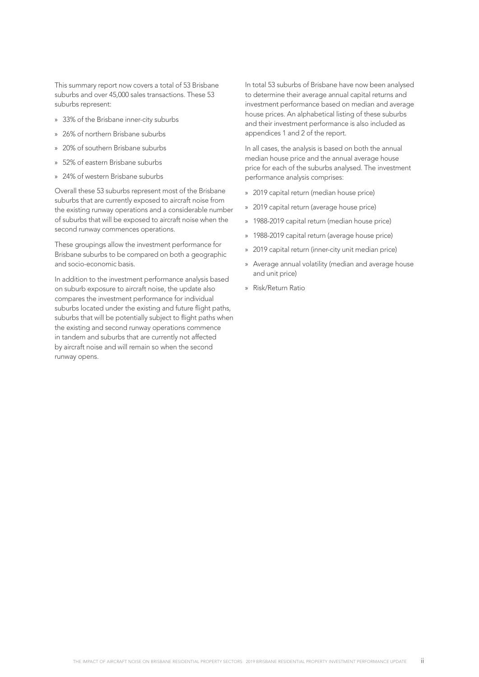This summary report now covers a total of 53 Brisbane suburbs and over 45,000 sales transactions. These 53 suburbs represent:

- » 33% of the Brisbane inner-city suburbs
- » 26% of northern Brisbane suburbs
- » 20% of southern Brisbane suburbs
- » 52% of eastern Brisbane suburbs
- » 24% of western Brisbane suburbs

Overall these 53 suburbs represent most of the Brisbane suburbs that are currently exposed to aircraft noise from the existing runway operations and a considerable number of suburbs that will be exposed to aircraft noise when the second runway commences operations.

These groupings allow the investment performance for Brisbane suburbs to be compared on both a geographic and socio-economic basis.

In addition to the investment performance analysis based on suburb exposure to aircraft noise, the update also compares the investment performance for individual suburbs located under the existing and future flight paths, suburbs that will be potentially subject to flight paths when the existing and second runway operations commence in tandem and suburbs that are currently not affected by aircraft noise and will remain so when the second runway opens.

In total 53 suburbs of Brisbane have now been analysed to determine their average annual capital returns and investment performance based on median and average house prices. An alphabetical listing of these suburbs and their investment performance is also included as appendices 1 and 2 of the report.

In all cases, the analysis is based on both the annual median house price and the annual average house price for each of the suburbs analysed. The investment performance analysis comprises:

- » 2019 capital return (median house price)
- » 2019 capital return (average house price)
- » 1988-2019 capital return (median house price)
- » 1988-2019 capital return (average house price)
- » 2019 capital return (inner-city unit median price)
- » Average annual volatility (median and average house and unit price)
- » Risk/Return Ratio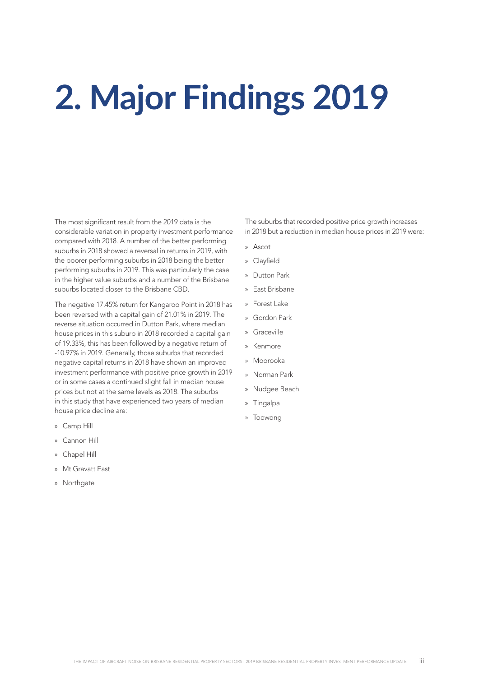# **2. Major Findings 2019**

The most significant result from the 2019 data is the considerable variation in property investment performance compared with 2018. A number of the better performing suburbs in 2018 showed a reversal in returns in 2019, with the poorer performing suburbs in 2018 being the better performing suburbs in 2019. This was particularly the case in the higher value suburbs and a number of the Brisbane suburbs located closer to the Brisbane CBD.

The negative 17.45% return for Kangaroo Point in 2018 has been reversed with a capital gain of 21.01% in 2019. The reverse situation occurred in Dutton Park, where median house prices in this suburb in 2018 recorded a capital gain of 19.33%, this has been followed by a negative return of -10.97% in 2019. Generally, those suburbs that recorded negative capital returns in 2018 have shown an improved investment performance with positive price growth in 2019 or in some cases a continued slight fall in median house prices but not at the same levels as 2018. The suburbs in this study that have experienced two years of median house price decline are:

- » Camp Hill
- » Cannon Hill
- » Chapel Hill
- » Mt Gravatt East
- » Northgate

The suburbs that recorded positive price growth increases in 2018 but a reduction in median house prices in 2019 were:

- » Ascot
- » Clayfield
- » Dutton Park
- » East Brisbane
- » Forest Lake
- » Gordon Park
- » Graceville
- » Kenmore
- » Moorooka
- » Norman Park
- » Nudgee Beach
- » Tingalpa
- » Toowong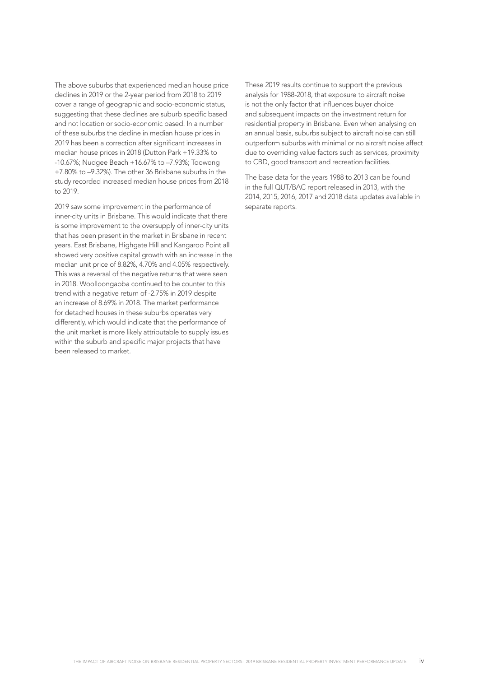The above suburbs that experienced median house price declines in 2019 or the 2-year period from 2018 to 2019 cover a range of geographic and socio-economic status, suggesting that these declines are suburb specific based and not location or socio-economic based. In a number of these suburbs the decline in median house prices in 2019 has been a correction after significant increases in median house prices in 2018 (Dutton Park +19.33% to -10.67%; Nudgee Beach +16.67% to –7.93%; Toowong +7.80% to –9.32%). The other 36 Brisbane suburbs in the study recorded increased median house prices from 2018 to 2019.

2019 saw some improvement in the performance of inner-city units in Brisbane. This would indicate that there is some improvement to the oversupply of inner-city units that has been present in the market in Brisbane in recent years. East Brisbane, Highgate Hill and Kangaroo Point all showed very positive capital growth with an increase in the median unit price of 8.82%, 4.70% and 4.05% respectively. This was a reversal of the negative returns that were seen in 2018. Woolloongabba continued to be counter to this trend with a negative return of -2.75% in 2019 despite an increase of 8.69% in 2018. The market performance for detached houses in these suburbs operates very differently, which would indicate that the performance of the unit market is more likely attributable to supply issues within the suburb and specific major projects that have been released to market.

These 2019 results continue to support the previous analysis for 1988-2018, that exposure to aircraft noise is not the only factor that influences buyer choice and subsequent impacts on the investment return for residential property in Brisbane. Even when analysing on an annual basis, suburbs subject to aircraft noise can still outperform suburbs with minimal or no aircraft noise affect due to overriding value factors such as services, proximity to CBD, good transport and recreation facilities.

The base data for the years 1988 to 2013 can be found in the full QUT/BAC report released in 2013, with the 2014, 2015, 2016, 2017 and 2018 data updates available in separate reports.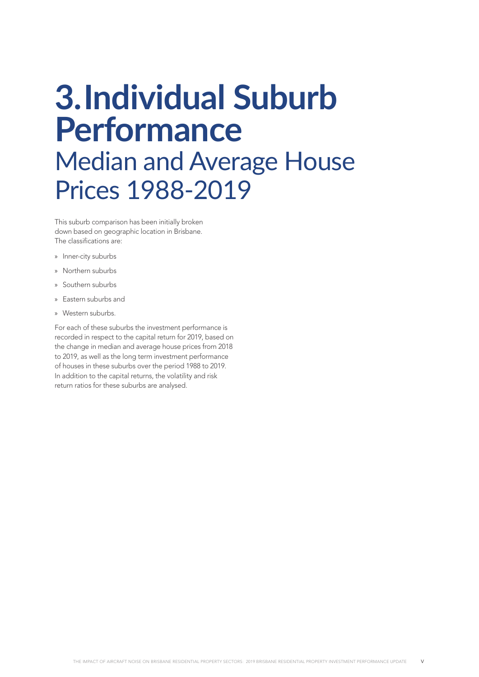### **3.Individual Suburb Performance** Median and Average House Prices 1988-2019

This suburb comparison has been initially broken down based on geographic location in Brisbane. The classifications are:

- » Inner-city suburbs
- » Northern suburbs
- » Southern suburbs
- » Eastern suburbs and
- » Western suburbs.

For each of these suburbs the investment performance is recorded in respect to the capital return for 2019, based on the change in median and average house prices from 2018 to 2019, as well as the long term investment performance of houses in these suburbs over the period 1988 to 2019. In addition to the capital returns, the volatility and risk return ratios for these suburbs are analysed.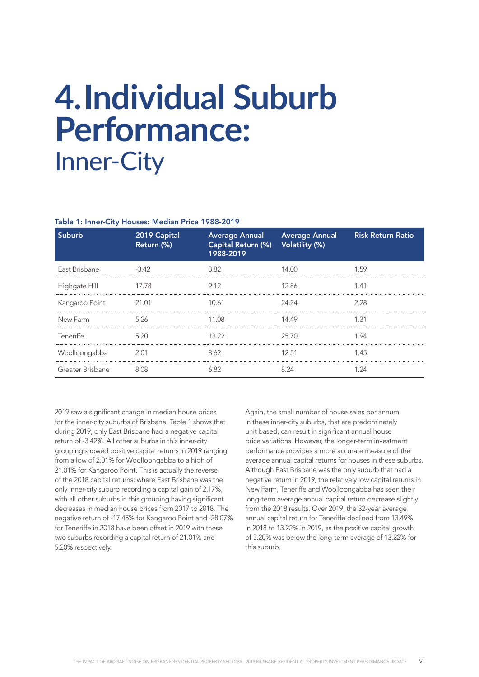### **4.Individual Suburb Performance:**  Inner-City

#### Table 1: Inner-City Houses: Median Price 1988-2019

| Suburb           | 2019 Capital<br>Return (%) | Capital Return (%) Volatility (%)<br>1988-2019 | Average Annual Average Annual | <b>Risk Return Ratio</b> |
|------------------|----------------------------|------------------------------------------------|-------------------------------|--------------------------|
| East Brisbane    | $-3.42$                    | 8.82                                           | 14 M                          | 1.59                     |
| Highgate Hill    | 17.78                      | 9.12                                           | 12.86                         | 1.41                     |
| Kangaroo Point   | 21.01                      | 10.61                                          | 24.24                         | 2.28                     |
| New Farm         | 5.26                       | 11.08                                          | 14.49                         | 1.31                     |
| Teneriffe        | 5.20                       | 13.22                                          | 25.70                         | 1.94                     |
| Woolloongabba    | 2.01                       | 8.62                                           | 12.51                         | 1.45                     |
| Greater Brisbane | 8 Q S                      | 682                                            | 8 24                          | 1 24                     |

2019 saw a significant change in median house prices for the inner-city suburbs of Brisbane. Table 1 shows that during 2019, only East Brisbane had a negative capital return of -3.42%. All other suburbs in this inner-city grouping showed positive capital returns in 2019 ranging from a low of 2.01% for Woolloongabba to a high of 21.01% for Kangaroo Point. This is actually the reverse of the 2018 capital returns; where East Brisbane was the only inner-city suburb recording a capital gain of 2.17%, with all other suburbs in this grouping having significant decreases in median house prices from 2017 to 2018. The negative return of -17.45% for Kangaroo Point and -28.07% for Teneriffe in 2018 have been offset in 2019 with these two suburbs recording a capital return of 21.01% and 5.20% respectively.

Again, the small number of house sales per annum in these inner-city suburbs, that are predominately unit based, can result in significant annual house price variations. However, the longer-term investment performance provides a more accurate measure of the average annual capital returns for houses in these suburbs. Although East Brisbane was the only suburb that had a negative return in 2019, the relatively low capital returns in New Farm, Teneriffe and Woolloongabba has seen their long-term average annual capital return decrease slightly from the 2018 results. Over 2019, the 32-year average annual capital return for Teneriffe declined from 13.49% in 2018 to 13.22% in 2019, as the positive capital growth of 5.20% was below the long-term average of 13.22% for this suburb.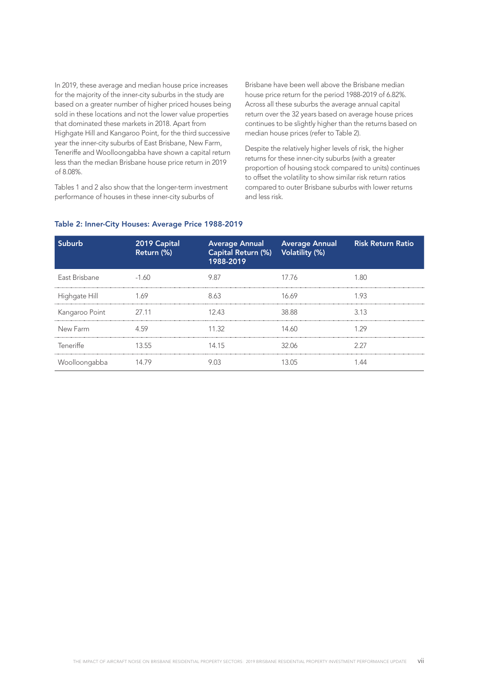In 2019, these average and median house price increases for the majority of the inner-city suburbs in the study are based on a greater number of higher priced houses being sold in these locations and not the lower value properties that dominated these markets in 2018. Apart from Highgate Hill and Kangaroo Point, for the third successive year the inner-city suburbs of East Brisbane, New Farm, Teneriffe and Woolloongabba have shown a capital return less than the median Brisbane house price return in 2019 of 8.08%.

Tables 1 and 2 also show that the longer-term investment performance of houses in these inner-city suburbs of

Brisbane have been well above the Brisbane median house price return for the period 1988-2019 of 6.82%. Across all these suburbs the average annual capital return over the 32 years based on average house prices continues to be slightly higher than the returns based on median house prices (refer to Table 2).

Despite the relatively higher levels of risk, the higher returns for these inner-city suburbs (with a greater proportion of housing stock compared to units) continues to offset the volatility to show similar risk return ratios compared to outer Brisbane suburbs with lower returns and less risk.

| Suburb         | 2019 Capital<br>Return (%) | Capital Return (%) Volatility (%)<br>1988-2019 | <b>Average Annual</b> Average Annual | <b>Risk Return Ratio</b> |
|----------------|----------------------------|------------------------------------------------|--------------------------------------|--------------------------|
| East Brisbane  | $-1.60$                    | 9.87                                           | 17.76                                | 1 80                     |
| Highgate Hill  | 1.69                       | 8.63                                           | 16 69                                | 193                      |
| Kangaroo Point | 27.11                      | 12.43                                          | 38.88                                | 3.13                     |
| New Farm       | 459                        | 11.32                                          | 14.60                                | 1 29                     |
| Teneriffe      | 13.55                      | 14.15                                          | 32.06                                | 227                      |
| Woolloongabba  |                            |                                                |                                      |                          |

#### Table 2: Inner-City Houses: Average Price 1988-2019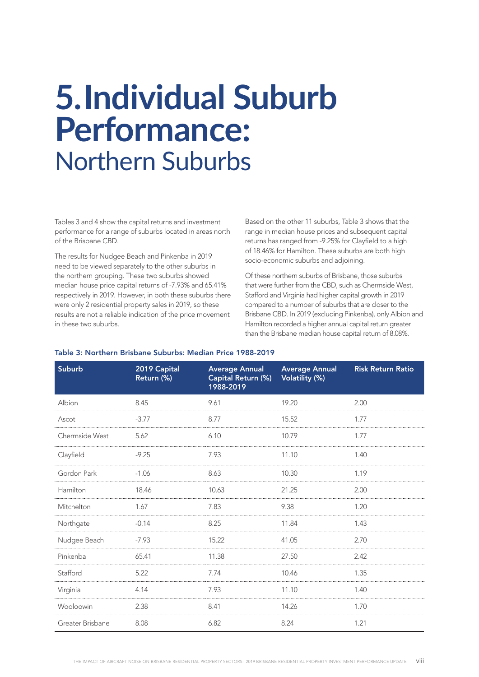### **5.Individual Suburb Performance:**  Northern Suburbs

Tables 3 and 4 show the capital returns and investment performance for a range of suburbs located in areas north of the Brisbane CBD.

The results for Nudgee Beach and Pinkenba in 2019 need to be viewed separately to the other suburbs in the northern grouping. These two suburbs showed median house price capital returns of -7.93% and 65.41% respectively in 2019. However, in both these suburbs there were only 2 residential property sales in 2019, so these results are not a reliable indication of the price movement in these two suburbs.

Based on the other 11 suburbs, Table 3 shows that the range in median house prices and subsequent capital returns has ranged from -9.25% for Clayfield to a high of 18.46% for Hamilton. These suburbs are both high socio-economic suburbs and adjoining.

Of these northern suburbs of Brisbane, those suburbs that were further from the CBD, such as Chermside West, Stafford and Virginia had higher capital growth in 2019 compared to a number of suburbs that are closer to the Brisbane CBD. In 2019 (excluding Pinkenba), only Albion and Hamilton recorded a higher annual capital return greater than the Brisbane median house capital return of 8.08%.

| Suburb           | 2019 Capital<br>Return (%) | <b>Average Annual</b><br>Capital Return (%)<br>1988-2019 | <b>Average Annual</b><br><b>Volatility (%)</b> | <b>Risk Return Ratio</b> |
|------------------|----------------------------|----------------------------------------------------------|------------------------------------------------|--------------------------|
| Albion           | 8.45                       | 9.61                                                     | 19.20                                          | 2.00                     |
| Ascot            | $-3.77$                    | 8.77                                                     | 15.52                                          | 1.77                     |
| Chermside West   | 5.62                       | 6.10<br>10.79                                            |                                                | 1.77                     |
| Clayfield        | $-9.25$                    | 7.93                                                     | 11.10                                          | 1.40                     |
| Gordon Park      | $-1.06$                    | 8.63                                                     | 10.30                                          | 1.19                     |
| Hamilton         | 18.46                      | 10.63                                                    | 21.25                                          | 2.00                     |
| Mitchelton       | 1.67                       | 7.83                                                     | 9.38                                           | 1.20                     |
| Northgate        | $-0.14$                    | 8.25                                                     | 11.84                                          | 1.43                     |
| Nudgee Beach     | $-7.93$                    | 15.22                                                    | 41.05                                          | 2.70                     |
| Pinkenba         | 65.41                      | 11.38                                                    | 27.50                                          | 2.42                     |
| Stafford         | 5.22                       | 7.74                                                     | 10.46                                          | 1.35                     |
| Virginia         | 4.14                       | 7.93                                                     | 11.10                                          | 1.40                     |
| Wooloowin        | 2.38                       | 8.41                                                     | 14.26                                          | 1.70                     |
| Greater Brisbane | 8.08                       | 6.82                                                     | 8.24                                           | 1.21                     |

### Table 3: Northern Brisbane Suburbs: Median Price 1988-2019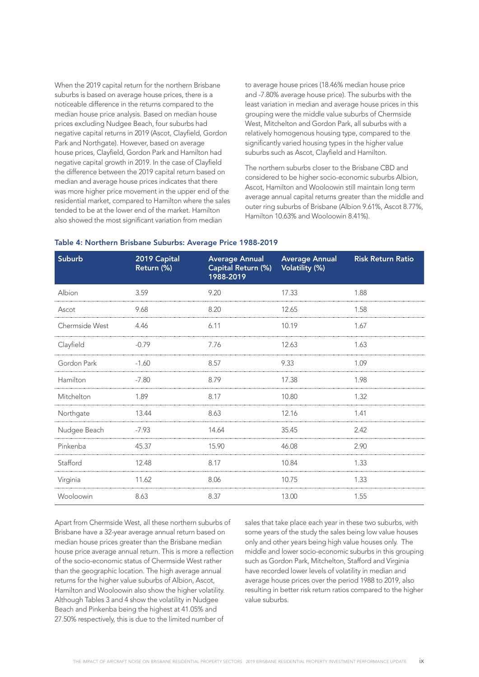When the 2019 capital return for the northern Brisbane suburbs is based on average house prices, there is a noticeable difference in the returns compared to the median house price analysis. Based on median house prices excluding Nudgee Beach, four suburbs had negative capital returns in 2019 (Ascot, Clayfield, Gordon Park and Northgate). However, based on average house prices, Clayfield, Gordon Park and Hamilton had negative capital growth in 2019. In the case of Clayfield the difference between the 2019 capital return based on median and average house prices indicates that there was more higher price movement in the upper end of the residential market, compared to Hamilton where the sales tended to be at the lower end of the market. Hamilton also showed the most significant variation from median

to average house prices (18.46% median house price and -7.80% average house price). The suburbs with the least variation in median and average house prices in this grouping were the middle value suburbs of Chermside West, Mitchelton and Gordon Park, all suburbs with a relatively homogenous housing type, compared to the significantly varied housing types in the higher value suburbs such as Ascot, Clayfield and Hamilton.

The northern suburbs closer to the Brisbane CBD and considered to be higher socio-economic suburbs Albion, Ascot, Hamilton and Wooloowin still maintain long term average annual capital returns greater than the middle and outer ring suburbs of Brisbane (Albion 9.61%, Ascot 8.77%, Hamilton 10.63% and Wooloowin 8.41%).

| <b>Suburb</b>  | 2019 Capital<br>Return (%) | <b>Average Annual</b><br>Capital Return (%)<br>1988-2019 | <b>Average Annual</b><br>Volatility (%) | <b>Risk Return Ratio</b> |
|----------------|----------------------------|----------------------------------------------------------|-----------------------------------------|--------------------------|
| Albion         | 3.59                       | 9.20                                                     | 17.33                                   | 1.88                     |
| Ascot          | 9.68                       | 8.20                                                     | 12.65                                   | 1.58                     |
| Chermside West | 4.46                       | 6.11                                                     | 10.19                                   | 1.67                     |
| Clayfield      | $-0.79$                    | 7.76                                                     | 12.63                                   | 1.63                     |
| Gordon Park    | $-1.60$                    | 8.57                                                     | 9.33                                    | 1.09                     |
| Hamilton       | $-7.80$                    | 8.79                                                     | 17.38                                   | 1.98                     |
| Mitchelton     | 1.89                       | 8.17                                                     | 10.80                                   | 1.32                     |
| Northgate      | 13.44                      | 8.63                                                     | 12.16                                   | 1.41                     |
| Nudgee Beach   | $-7.93$                    | 14.64                                                    | 35.45                                   | 2.42                     |
| Pinkenba       | 45.37                      | 15.90                                                    | 46.08                                   | 2.90                     |
| Stafford       | 12.48                      | 8.17                                                     | 10.84                                   | 1.33                     |
| Virginia       | 11.62                      | 8.06                                                     | 10.75                                   | 1.33                     |
| Wooloowin      | 8.63                       | 8.37                                                     | 13.00                                   | 1.55                     |

#### Table 4: Northern Brisbane Suburbs: Average Price 1988-2019

Apart from Chermside West, all these northern suburbs of Brisbane have a 32-year average annual return based on median house prices greater than the Brisbane median house price average annual return. This is more a reflection of the socio-economic status of Chermside West rather than the geographic location. The high average annual returns for the higher value suburbs of Albion, Ascot, Hamilton and Wooloowin also show the higher volatility. Although Tables 3 and 4 show the volatility in Nudgee Beach and Pinkenba being the highest at 41.05% and 27.50% respectively, this is due to the limited number of

sales that take place each year in these two suburbs, with some years of the study the sales being low value houses only and other years being high value houses only. The middle and lower socio-economic suburbs in this grouping such as Gordon Park, Mitchelton, Stafford and Virginia have recorded lower levels of volatility in median and average house prices over the period 1988 to 2019, also resulting in better risk return ratios compared to the higher value suburbs.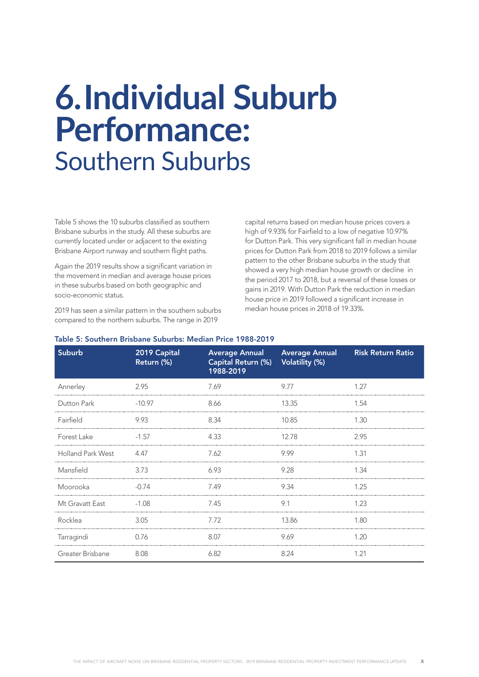### **6.Individual Suburb Performance:**  Southern Suburbs

Table 5 shows the 10 suburbs classified as southern Brisbane suburbs in the study. All these suburbs are currently located under or adjacent to the existing Brisbane Airport runway and southern flight paths.

Again the 2019 results show a significant variation in the movement in median and average house prices in these suburbs based on both geographic and socio-economic status.

2019 has seen a similar pattern in the southern suburbs compared to the northern suburbs. The range in 2019

capital returns based on median house prices covers a high of 9.93% for Fairfield to a low of negative 10.97% for Dutton Park. This very significant fall in median house prices for Dutton Park from 2018 to 2019 follows a similar pattern to the other Brisbane suburbs in the study that showed a very high median house growth or decline in the period 2017 to 2018, but a reversal of these losses or gains in 2019. With Dutton Park the reduction in median house price in 2019 followed a significant increase in median house prices in 2018 of 19.33%.

| <b>Suburb</b>            | 2019 Capital<br>Return (%) | <b>Average Annual</b><br>Capital Return (%)<br>1988-2019 | <b>Average Annual</b><br><b>Volatility (%)</b> | <b>Risk Return Ratio</b> |
|--------------------------|----------------------------|----------------------------------------------------------|------------------------------------------------|--------------------------|
| Annerley                 | 2.95                       | 7.69                                                     | 9.77                                           | 1.27                     |
| Dutton Park              | $-10.97$                   | 8.66                                                     | 13.35                                          | 1.54                     |
| Fairfield                | 9.93                       | 8.34                                                     | 10.85                                          | 1.30                     |
| Forest Lake              | $-1.57$                    | 4.33                                                     | 12.78                                          | 2.95                     |
| <b>Holland Park West</b> | 4.47                       | 7.62                                                     | 9.99                                           | 1.31                     |
| Mansfield                | 3.73                       | 6.93                                                     | 9.28                                           | 1.34                     |
| Moorooka                 | $-0.74$                    | 7.49                                                     | 9.34                                           | 1.25                     |
| Mt Gravatt East          | $-1.08$                    | 7.45                                                     | 9.1                                            | 1.23                     |
| Rocklea                  | 3.05                       | 7.72                                                     | 13.86                                          | 1.80                     |
| Tarragindi               | 0.76                       | 8.07                                                     | 9.69                                           | 1.20                     |
| Greater Brisbane         | 8.08                       | 6.82                                                     | 8.24                                           | 1.21                     |

#### Table 5: Southern Brisbane Suburbs: Median Price 1988-2019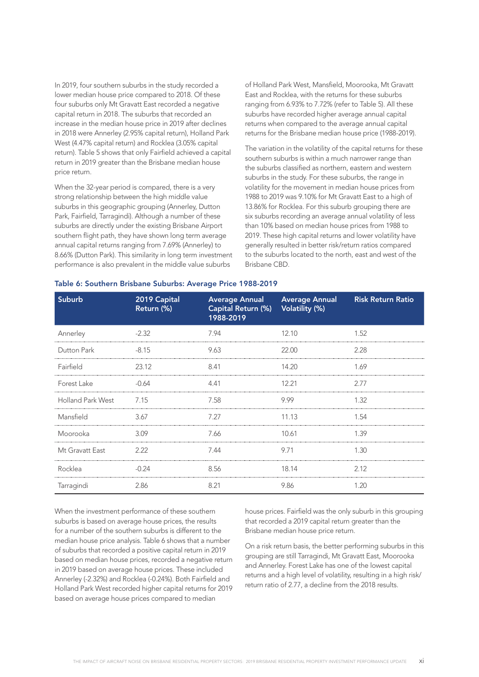In 2019, four southern suburbs in the study recorded a lower median house price compared to 2018. Of these four suburbs only Mt Gravatt East recorded a negative capital return in 2018. The suburbs that recorded an increase in the median house price in 2019 after declines in 2018 were Annerley (2.95% capital return), Holland Park West (4.47% capital return) and Rocklea (3.05% capital return). Table 5 shows that only Fairfield achieved a capital return in 2019 greater than the Brisbane median house price return.

When the 32-year period is compared, there is a very strong relationship between the high middle value suburbs in this geographic grouping (Annerley, Dutton Park, Fairfield, Tarragindi). Although a number of these suburbs are directly under the existing Brisbane Airport southern flight path, they have shown long term average annual capital returns ranging from 7.69% (Annerley) to 8.66% (Dutton Park). This similarity in long term investment performance is also prevalent in the middle value suburbs

of Holland Park West, Mansfield, Moorooka, Mt Gravatt East and Rocklea, with the returns for these suburbs ranging from 6.93% to 7.72% (refer to Table 5). All these suburbs have recorded higher average annual capital returns when compared to the average annual capital returns for the Brisbane median house price (1988-2019).

The variation in the volatility of the capital returns for these southern suburbs is within a much narrower range than the suburbs classified as northern, eastern and western suburbs in the study. For these suburbs, the range in volatility for the movement in median house prices from 1988 to 2019 was 9.10% for Mt Gravatt East to a high of 13.86% for Rocklea. For this suburb grouping there are six suburbs recording an average annual volatility of less than 10% based on median house prices from 1988 to 2019. These high capital returns and lower volatility have generally resulted in better risk/return ratios compared to the suburbs located to the north, east and west of the Brisbane CBD.

| <b>Suburb</b>            | 2019 Capital<br>Return (%) | <b>Average Annual</b><br>Capital Return (%)<br>1988-2019 | <b>Average Annual</b><br><b>Volatility (%)</b> | <b>Risk Return Ratio</b> |
|--------------------------|----------------------------|----------------------------------------------------------|------------------------------------------------|--------------------------|
| Annerley                 | $-2.32$                    | 7.94                                                     | 12.10                                          | 1.52                     |
| Dutton Park              | $-8.15$                    | 9.63                                                     | 22.00                                          | 2.28                     |
| Fairfield                | 23.12                      | 8.41                                                     | 14.20                                          | 1.69                     |
| Forest Lake              | -0.64                      | 4.41                                                     | 12.21                                          | 2.77                     |
| <b>Holland Park West</b> | 7.15                       | 7.58                                                     | 9.99                                           | 1.32                     |
| Mansfield                | 3.67                       | 7.27                                                     | 11.13                                          | 1.54                     |
| Moorooka                 | 3.09                       | 7.66                                                     | 10.61                                          | 1.39                     |
| Mt Gravatt East          | 2.22                       | 7.44                                                     | 9.71                                           | 1.30                     |
| Rocklea                  | $-0.24$                    | 8.56                                                     | 18.14                                          | 2.12                     |
| Tarragindi               | 2.86                       | 8.21                                                     | 9.86                                           | 1.20                     |

#### Table 6: Southern Brisbane Suburbs: Average Price 1988-2019

When the investment performance of these southern suburbs is based on average house prices, the results for a number of the southern suburbs is different to the median house price analysis. Table 6 shows that a number of suburbs that recorded a positive capital return in 2019 based on median house prices, recorded a negative return in 2019 based on average house prices. These included Annerley (-2.32%) and Rocklea (-0.24%). Both Fairfield and Holland Park West recorded higher capital returns for 2019 based on average house prices compared to median

house prices. Fairfield was the only suburb in this grouping that recorded a 2019 capital return greater than the Brisbane median house price return.

On a risk return basis, the better performing suburbs in this grouping are still Tarragindi, Mt Gravatt East, Moorooka and Annerley. Forest Lake has one of the lowest capital returns and a high level of volatility, resulting in a high risk/ return ratio of 2.77, a decline from the 2018 results.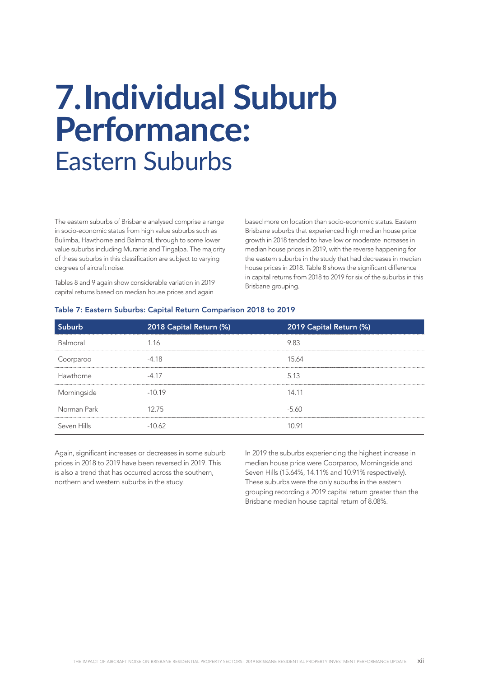### **7.Individual Suburb Performance:**  Eastern Suburbs

The eastern suburbs of Brisbane analysed comprise a range in socio-economic status from high value suburbs such as Bulimba, Hawthorne and Balmoral, through to some lower value suburbs including Murarrie and Tingalpa. The majority of these suburbs in this classification are subject to varying degrees of aircraft noise.

Tables 8 and 9 again show considerable variation in 2019 capital returns based on median house prices and again

based more on location than socio-economic status. Eastern Brisbane suburbs that experienced high median house price growth in 2018 tended to have low or moderate increases in median house prices in 2019, with the reverse happening for the eastern suburbs in the study that had decreases in median house prices in 2018. Table 8 shows the significant difference in capital returns from 2018 to 2019 for six of the suburbs in this Brisbane grouping.

### Table 7: Eastern Suburbs: Capital Return Comparison 2018 to 2019

| hurh        | 2018 Capital Return (%) | 2019 Capital Return (%) |
|-------------|-------------------------|-------------------------|
| Balmoral    | 116                     | 983                     |
| Coorparoo   | $-4.18$                 | 15.64                   |
| Hawthorne   | -4 17                   | 5.13                    |
| Morningside | $-10.19$                | 14.11                   |
| Norman Park | 1275                    | $-5.60$                 |
| Seven Hills | -10.62                  | 10 91                   |

Again, significant increases or decreases in some suburb prices in 2018 to 2019 have been reversed in 2019. This is also a trend that has occurred across the southern, northern and western suburbs in the study.

In 2019 the suburbs experiencing the highest increase in median house price were Coorparoo, Morningside and Seven Hills (15.64%, 14.11% and 10.91% respectively). These suburbs were the only suburbs in the eastern grouping recording a 2019 capital return greater than the Brisbane median house capital return of 8.08%.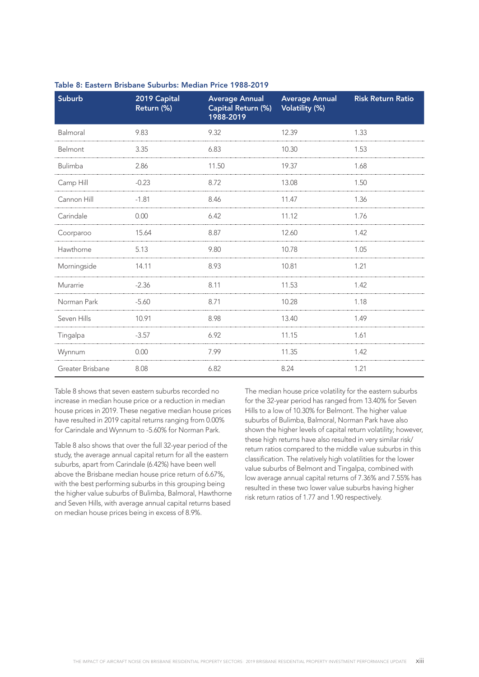| <b>Suburb</b>    | 2019 Capital<br>Return (%) | <b>Average Annual</b><br>Capital Return (%)<br>1988-2019 | <b>Average Annual</b><br>Volatility (%) | <b>Risk Return Ratio</b> |
|------------------|----------------------------|----------------------------------------------------------|-----------------------------------------|--------------------------|
| Balmoral         | 9.83                       | 9.32                                                     | 12.39                                   | 1.33                     |
| Belmont          | 3.35                       | 6.83                                                     | 10.30                                   | 1.53                     |
| Bulimba          | 2.86                       | 11.50                                                    | 19.37                                   | 1.68                     |
| Camp Hill        | $-0.23$                    | 8.72                                                     | 13.08                                   | 1.50                     |
| Cannon Hill      | $-1.81$                    | 8.46                                                     | 11.47                                   | 1.36                     |
| Carindale        | 0.00                       | 6.42                                                     | 11.12                                   | 1.76                     |
| Coorparoo        | 15.64                      | 8.87                                                     | 12.60                                   | 1.42                     |
| Hawthorne        | 5.13                       | 9.80                                                     | 10.78                                   | 1.05                     |
| Morningside      | 14.11                      | 8.93                                                     | 10.81                                   | 1.21                     |
| Murarrie         | $-2.36$                    | 8.11                                                     | 11.53                                   | 1.42                     |
| Norman Park      | $-5.60$                    | 8.71                                                     | 10.28                                   | 1.18                     |
| Seven Hills      | 10.91                      | 8.98                                                     | 13.40                                   | 1.49                     |
| Tingalpa         | $-3.57$                    | 6.92                                                     | 11.15                                   | 1.61                     |
| Wynnum           | 0.00                       | 7.99                                                     | 11.35                                   | 1.42                     |
| Greater Brisbane | 8.08                       | 6.82                                                     | 8.24                                    | 1.21                     |

### Table 8: Eastern Brisbane Suburbs: Median Price 1988-2019

Table 8 shows that seven eastern suburbs recorded no increase in median house price or a reduction in median house prices in 2019. These negative median house prices have resulted in 2019 capital returns ranging from 0.00% for Carindale and Wynnum to -5.60% for Norman Park.

Table 8 also shows that over the full 32-year period of the study, the average annual capital return for all the eastern suburbs, apart from Carindale (6.42%) have been well above the Brisbane median house price return of 6.67%, with the best performing suburbs in this grouping being the higher value suburbs of Bulimba, Balmoral, Hawthorne and Seven Hills, with average annual capital returns based on median house prices being in excess of 8.9%.

The median house price volatility for the eastern suburbs for the 32-year period has ranged from 13.40% for Seven Hills to a low of 10.30% for Belmont. The higher value suburbs of Bulimba, Balmoral, Norman Park have also shown the higher levels of capital return volatility; however, these high returns have also resulted in very similar risk/ return ratios compared to the middle value suburbs in this classification. The relatively high volatilities for the lower value suburbs of Belmont and Tingalpa, combined with low average annual capital returns of 7.36% and 7.55% has resulted in these two lower value suburbs having higher risk return ratios of 1.77 and 1.90 respectively.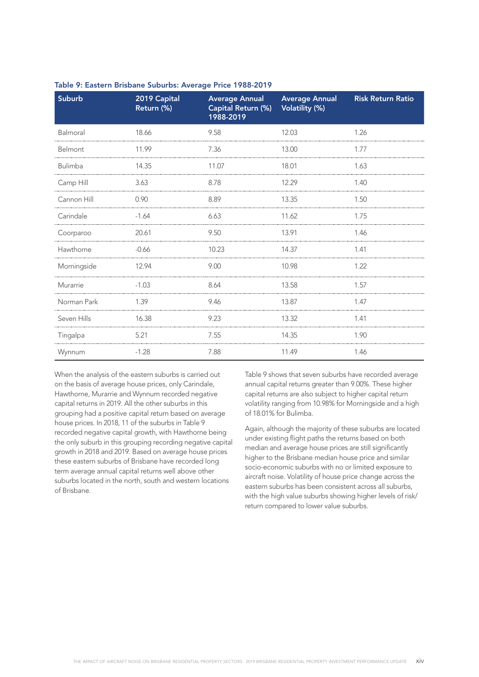| Suburb      | 2019 Capital<br>Return (%) | <b>Average Annual</b><br>Capital Return (%)<br>1988-2019 | <b>Average Annual</b><br>Volatility (%) | <b>Risk Return Ratio</b> |
|-------------|----------------------------|----------------------------------------------------------|-----------------------------------------|--------------------------|
| Balmoral    | 18.66                      | 9.58                                                     | 12.03                                   | 1.26                     |
| Belmont     | 11.99                      | 7.36                                                     | 13.00                                   | 1.77                     |
| Bulimba     | 14.35                      | 11.07                                                    | 18.01                                   | 1.63                     |
| Camp Hill   | 3.63                       | 8.78                                                     | 12.29                                   | 1.40                     |
| Cannon Hill | 0.90                       | 8.89                                                     | 13.35                                   | 1.50                     |
| Carindale   | $-1.64$                    | 6.63                                                     | 11.62                                   | 1.75                     |
| Coorparoo   | 20.61                      | 9.50                                                     | 13.91                                   | 1.46                     |
| Hawthorne   | $-0.66$                    | 10.23                                                    | 14.37                                   | 1.41                     |
| Morningside | 12.94                      | 9.00                                                     | 10.98                                   | 1.22                     |
| Murarrie    | $-1.03$                    | 8.64                                                     | 13.58                                   | 1.57                     |
| Norman Park | 1.39                       | 9.46                                                     | 13.87                                   | 1.47                     |
| Seven Hills | 16.38                      | 9.23                                                     | 13.32                                   | 1.41                     |
| Tingalpa    | 5.21                       | 7.55                                                     | 14.35                                   | 1.90                     |
| Wynnum      | $-1.28$                    | 7.88                                                     | 11.49                                   | 1.46                     |

### Table 9: Eastern Brisbane Suburbs: Average Price 1988-2019

When the analysis of the eastern suburbs is carried out on the basis of average house prices, only Carindale, Hawthorne, Murarrie and Wynnum recorded negative capital returns in 2019. All the other suburbs in this grouping had a positive capital return based on average house prices. In 2018, 11 of the suburbs in Table 9 recorded negative capital growth, with Hawthorne being the only suburb in this grouping recording negative capital growth in 2018 and 2019. Based on average house prices these eastern suburbs of Brisbane have recorded long term average annual capital returns well above other suburbs located in the north, south and western locations of Brisbane.

Table 9 shows that seven suburbs have recorded average annual capital returns greater than 9.00%. These higher capital returns are also subject to higher capital return volatility ranging from 10.98% for Morningside and a high of 18.01% for Bulimba.

Again, although the majority of these suburbs are located under existing flight paths the returns based on both median and average house prices are still significantly higher to the Brisbane median house price and similar socio-economic suburbs with no or limited exposure to aircraft noise. Volatility of house price change across the eastern suburbs has been consistent across all suburbs, with the high value suburbs showing higher levels of risk/ return compared to lower value suburbs.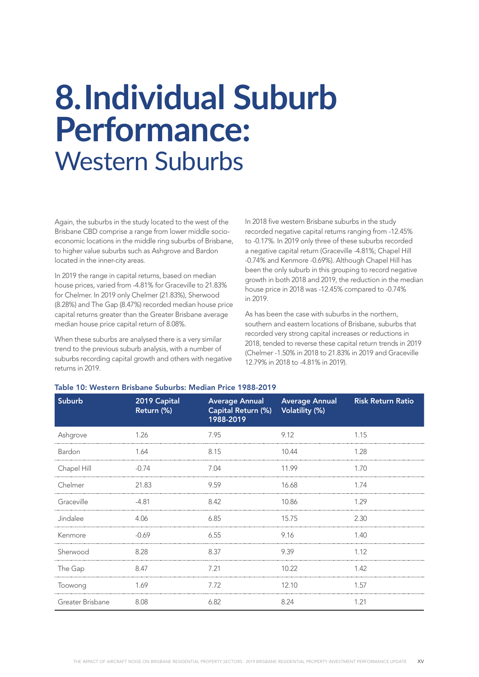### **8.Individual Suburb Performance:** Western Suburbs

Again, the suburbs in the study located to the west of the Brisbane CBD comprise a range from lower middle socioeconomic locations in the middle ring suburbs of Brisbane, to higher value suburbs such as Ashgrove and Bardon located in the inner-city areas.

In 2019 the range in capital returns, based on median house prices, varied from -4.81% for Graceville to 21.83% for Chelmer. In 2019 only Chelmer (21.83%), Sherwood (8.28%) and The Gap (8.47%) recorded median house price capital returns greater than the Greater Brisbane average median house price capital return of 8.08%.

When these suburbs are analysed there is a very similar trend to the previous suburb analysis, with a number of suburbs recording capital growth and others with negative returns in 2019.

In 2018 five western Brisbane suburbs in the study recorded negative capital returns ranging from -12.45% to -0.17%. In 2019 only three of these suburbs recorded a negative capital return (Graceville -4.81%; Chapel Hill -0.74% and Kenmore -0.69%). Although Chapel Hill has been the only suburb in this grouping to record negative growth in both 2018 and 2019, the reduction in the median house price in 2018 was -12.45% compared to -0.74% in 2019.

As has been the case with suburbs in the northern, southern and eastern locations of Brisbane, suburbs that recorded very strong capital increases or reductions in 2018, tended to reverse these capital return trends in 2019 (Chelmer -1.50% in 2018 to 21.83% in 2019 and Graceville 12.79% in 2018 to -4.81% in 2019).

| Suburb           | 2019 Capital<br>Return (%) | <b>Average Annual</b><br>Capital Return (%)<br>1988-2019 | <b>Average Annual</b><br><b>Volatility (%)</b> | <b>Risk Return Ratio</b> |
|------------------|----------------------------|----------------------------------------------------------|------------------------------------------------|--------------------------|
| Ashgrove         | 1.26                       | 7.95                                                     | 9.12                                           | 1.15                     |
| Bardon           | 1.64                       | 8.15                                                     | 10.44                                          | 1.28                     |
| Chapel Hill      | $-0.74$                    | 7.04                                                     | 11.99                                          | 1.70                     |
| Chelmer          | 21.83                      | 9.59                                                     | 16.68                                          | 1.74                     |
| Graceville       | $-4.81$                    | 8.42                                                     | 10.86                                          | 1.29                     |
| Jindalee         | 4.06                       | 6.85                                                     | 15.75                                          | 2.30                     |
| Kenmore          | $-0.69$                    | 6.55                                                     | 9.16                                           | 1.40                     |
| Sherwood         | 8.28                       | 8.37                                                     | 9.39                                           | 1.12                     |
| The Gap          | 8.47                       | 7.21                                                     | 10.22                                          | 1.42                     |
| Toowong          | 1.69                       | 7.72                                                     | 12.10                                          | 1.57                     |
| Greater Brisbane | 8.08                       | 6.82                                                     | 8.24                                           | 1.21                     |

#### Table 10: Western Brisbane Suburbs: Median Price 1988-2019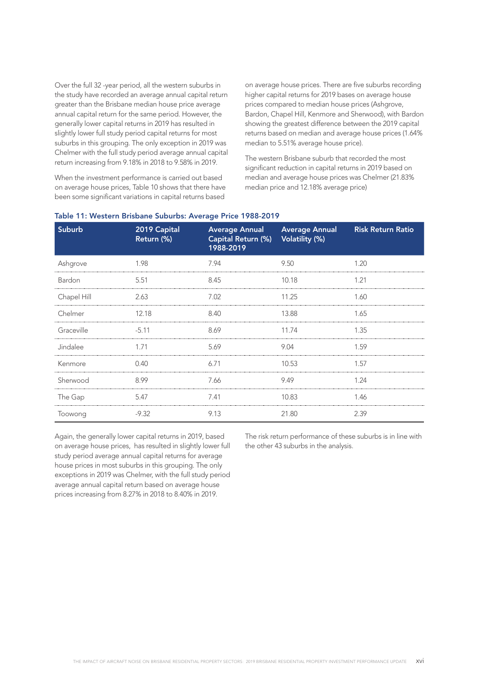Over the full 32 -year period, all the western suburbs in the study have recorded an average annual capital return greater than the Brisbane median house price average annual capital return for the same period. However, the generally lower capital returns in 2019 has resulted in slightly lower full study period capital returns for most suburbs in this grouping. The only exception in 2019 was Chelmer with the full study period average annual capital return increasing from 9.18% in 2018 to 9.58% in 2019.

When the investment performance is carried out based on average house prices, Table 10 shows that there have been some significant variations in capital returns based

on average house prices. There are five suburbs recording higher capital returns for 2019 bases on average house prices compared to median house prices (Ashgrove, Bardon, Chapel Hill, Kenmore and Sherwood), with Bardon showing the greatest difference between the 2019 capital returns based on median and average house prices (1.64% median to 5.51% average house price).

The western Brisbane suburb that recorded the most significant reduction in capital returns in 2019 based on median and average house prices was Chelmer (21.83% median price and 12.18% average price)

| Suburb      | 2019 Capital<br>Return (%) | <b>Average Annual</b><br>Capital Return (%) Volatility (%)<br>1988-2019 | <b>Average Annual</b> | <b>Risk Return Ratio</b> |  |
|-------------|----------------------------|-------------------------------------------------------------------------|-----------------------|--------------------------|--|
| Ashgrove    | 1.98                       | 7.94                                                                    | 9.50                  | 1.20                     |  |
| Bardon      | 5.51                       | 8.45                                                                    | 10.18                 | 1.21                     |  |
| Chapel Hill | 2.63                       | 7.02                                                                    | 11.25                 | 1.60                     |  |
| Chelmer     | 12.18                      | 8.40                                                                    | 13.88                 | 1.65                     |  |
| Graceville  | $-5.11$                    | 8.69                                                                    | 11.74                 | 1.35                     |  |
| Jindalee    | 1.71                       | 5.69                                                                    | 9.04                  | 1.59                     |  |
| Kenmore     | 0.40                       | 6.71                                                                    | 10.53                 | 1.57                     |  |
| Sherwood    | 8.99                       | 7.66                                                                    | 9.49                  | 1.24                     |  |
| The Gap     | 5.47                       | 7.41                                                                    | 10.83                 | 1.46                     |  |
| Toowong     | $-9.32$                    | 9.13                                                                    | 21.80                 | 2.39                     |  |

#### Table 11: Western Brisbane Suburbs: Average Price 1988-2019

Again, the generally lower capital returns in 2019, based on average house prices, has resulted in slightly lower full study period average annual capital returns for average house prices in most suburbs in this grouping. The only exceptions in 2019 was Chelmer, with the full study period average annual capital return based on average house prices increasing from 8.27% in 2018 to 8.40% in 2019.

The risk return performance of these suburbs is in line with the other 43 suburbs in the analysis.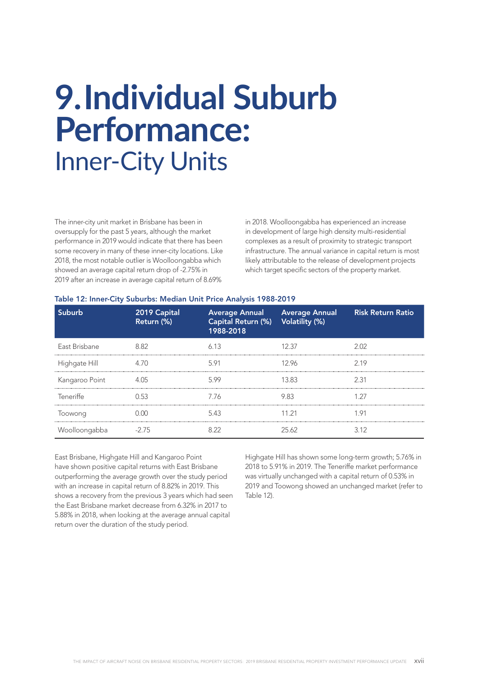### **9.Individual Suburb Performance:**  Inner-City Units

The inner-city unit market in Brisbane has been in oversupply for the past 5 years, although the market performance in 2019 would indicate that there has been some recovery in many of these inner-city locations. Like 2018, the most notable outlier is Woolloongabba which showed an average capital return drop of -2.75% in 2019 after an increase in average capital return of 8.69%

in 2018. Woolloongabba has experienced an increase in development of large high density multi-residential complexes as a result of proximity to strategic transport infrastructure. The annual variance in capital return is most likely attributable to the release of development projects which target specific sectors of the property market.

| Table 12: Inner-City Suburbs: Median Unit Price Analysis 1988-2019 |  |  |  |
|--------------------------------------------------------------------|--|--|--|
|                                                                    |  |  |  |

| Suburb         | 2019 Capital<br>Return (%) | Capital Return (%) Volatility (%)<br>1988-2018 | Average Annual Average Annual | <b>Risk Return Ratio</b> |
|----------------|----------------------------|------------------------------------------------|-------------------------------|--------------------------|
| East Brisbane  | 8.82                       | 6.13                                           | 12 37                         | 2 N2                     |
| Highgate Hill  |                            | 591                                            | 12.96                         | 219                      |
| Kangaroo Point |                            | 5.99                                           | 13.83                         | 2.31                     |
| Teneriffe      | 0.53                       | 7.76                                           | 9.83                          |                          |
| Toowong        |                            | 543                                            | 11 21                         | 1 91                     |
| Woolloongabba  |                            |                                                | 25.62                         | 312                      |

East Brisbane, Highgate Hill and Kangaroo Point have shown positive capital returns with East Brisbane outperforming the average growth over the study period with an increase in capital return of 8.82% in 2019. This shows a recovery from the previous 3 years which had seen the East Brisbane market decrease from 6.32% in 2017 to 5.88% in 2018, when looking at the average annual capital return over the duration of the study period.

Highgate Hill has shown some long-term growth; 5.76% in 2018 to 5.91% in 2019. The Teneriffe market performance was virtually unchanged with a capital return of 0.53% in 2019 and Toowong showed an unchanged market (refer to Table 12).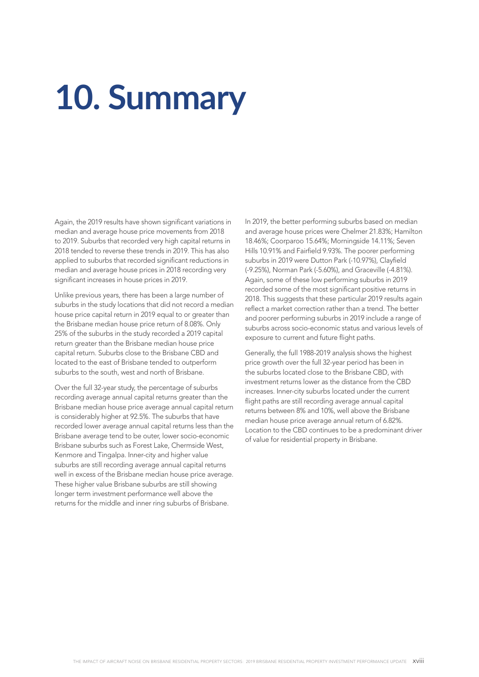# **10. Summary**

Again, the 2019 results have shown significant variations in median and average house price movements from 2018 to 2019. Suburbs that recorded very high capital returns in 2018 tended to reverse these trends in 2019. This has also applied to suburbs that recorded significant reductions in median and average house prices in 2018 recording very significant increases in house prices in 2019.

Unlike previous years, there has been a large number of suburbs in the study locations that did not record a median house price capital return in 2019 equal to or greater than the Brisbane median house price return of 8.08%. Only 25% of the suburbs in the study recorded a 2019 capital return greater than the Brisbane median house price capital return. Suburbs close to the Brisbane CBD and located to the east of Brisbane tended to outperform suburbs to the south, west and north of Brisbane.

Over the full 32-year study, the percentage of suburbs recording average annual capital returns greater than the Brisbane median house price average annual capital return is considerably higher at 92.5%. The suburbs that have recorded lower average annual capital returns less than the Brisbane average tend to be outer, lower socio-economic Brisbane suburbs such as Forest Lake, Chermside West, Kenmore and Tingalpa. Inner-city and higher value suburbs are still recording average annual capital returns well in excess of the Brisbane median house price average. These higher value Brisbane suburbs are still showing longer term investment performance well above the returns for the middle and inner ring suburbs of Brisbane.

In 2019, the better performing suburbs based on median and average house prices were Chelmer 21.83%; Hamilton 18.46%; Coorparoo 15.64%; Morningside 14.11%; Seven Hills 10.91% and Fairfield 9.93%. The poorer performing suburbs in 2019 were Dutton Park (-10.97%), Clayfield (-9.25%), Norman Park (-5.60%), and Graceville (-4.81%). Again, some of these low performing suburbs in 2019 recorded some of the most significant positive returns in 2018. This suggests that these particular 2019 results again reflect a market correction rather than a trend. The better and poorer performing suburbs in 2019 include a range of suburbs across socio-economic status and various levels of exposure to current and future flight paths.

Generally, the full 1988-2019 analysis shows the highest price growth over the full 32-year period has been in the suburbs located close to the Brisbane CBD, with investment returns lower as the distance from the CBD increases. Inner-city suburbs located under the current flight paths are still recording average annual capital returns between 8% and 10%, well above the Brisbane median house price average annual return of 6.82%. Location to the CBD continues to be a predominant driver of value for residential property in Brisbane.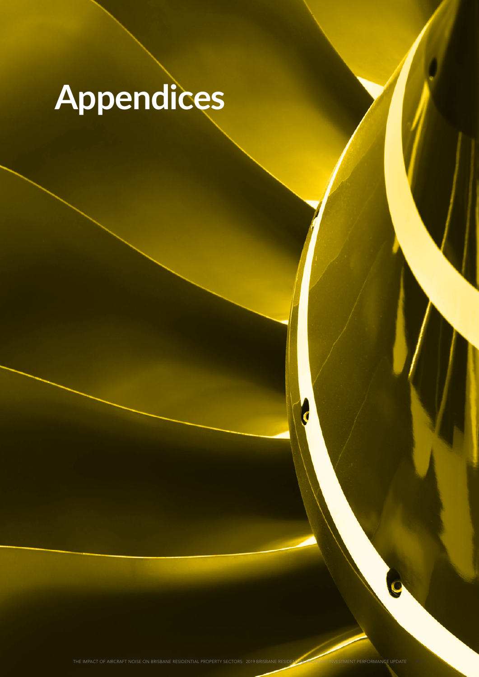# **Appendices**

THE IMPACT OF AIRCRAFT NOISE ON BRISBANE RESIDENTIAL PROPERTY SECTORS: 2019 BRISBANE RESIDENTIAL PROPERTY INVESTMENT PERFORMANCE UPDATE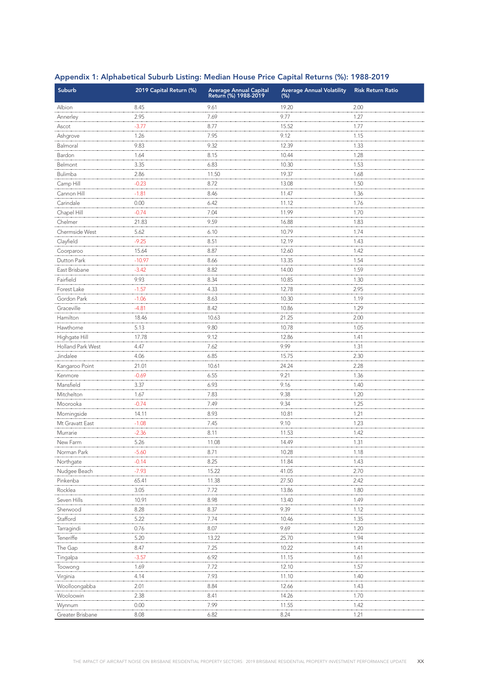| Suburb            | 2019 Capital Return (%) | Average Annual Capital<br>Return (%) 1988-2019 | <b>Average Annual Volatility</b><br>(% ) | <b>Risk Return Ratio</b> |
|-------------------|-------------------------|------------------------------------------------|------------------------------------------|--------------------------|
| Albion            | 8.45                    | 9.61                                           | 19.20                                    | 2.00                     |
| Annerley          | 2.95                    | 7.69                                           | 9.77                                     | 1.27                     |
| Ascot             | $-3.77$                 | 8.77                                           | 15.52                                    | 1.77                     |
| Ashgrove          | 1.26                    | 7.95                                           | 9.12                                     | 1.15                     |
| Balmoral          | 9.83                    | 9.32                                           | 12.39                                    | 1.33                     |
| Bardon            | 1.64                    | 8.15                                           | 10.44                                    | 1.28                     |
| Belmont           | 3.35                    | 6.83                                           | 10.30                                    | 1.53                     |
| Bulimba           | 2.86                    | 11.50                                          | 19.37                                    | 1.68                     |
| Camp Hill         | $-0.23$                 | 8.72                                           | 13.08                                    | 1.50                     |
| Cannon Hill       | $-1.81$                 | 8.46                                           | 11.47                                    | 1.36                     |
| Carindale         | 0.00                    | 6.42                                           | 11.12                                    | 1.76                     |
| Chapel Hill       | $-0.74$                 | 7.04                                           | 11.99                                    | 1.70                     |
| Chelmer           | 21.83                   | 9.59                                           | 16.88                                    | 1.83                     |
| Chermside West    | 5.62                    | 6.10                                           | 10.79                                    | 1.74                     |
| Clayfield         | $-9.25$                 | 8.51                                           | 12.19                                    | 1.43                     |
| Coorparoo         | 15.64                   | 8.87                                           | 12.60                                    | 1.42                     |
| Dutton Park       | $-10.97$                | 8.66                                           | 13.35                                    | 1.54                     |
| East Brisbane     | $-3.42$                 | 8.82                                           | 14.00                                    | 1.59                     |
| Fairfield         | 9.93                    | 8.34                                           | 10.85                                    | 1.30                     |
| Forest Lake       | $-1.57$                 | 4.33                                           | 12.78                                    | 2.95                     |
| Gordon Park       | $-1.06$                 | 8.63                                           | 10.30                                    | 1.19                     |
| Graceville        | $-4.81$                 | 8.42                                           | 10.86                                    | 1.29                     |
| Hamilton          | 18.46                   | 10.63                                          | 21.25                                    | 2.00                     |
| Hawthorne         | 5.13                    | 9.80                                           | 10.78                                    | 1.05                     |
| Highgate Hill     | 17.78                   | 9.12                                           | 12.86                                    | 1.41                     |
| Holland Park West | 4.47                    | 7.62                                           | 9.99                                     | 1.31                     |
| Jindalee          | 4.06                    | 6.85                                           | 15.75                                    | 2.30                     |
| Kangaroo Point    | 21.01                   | 10.61                                          | 24.24                                    | 2.28                     |
| Kenmore           | $-0.69$                 | 6.55                                           | 9.21                                     | 1.36                     |
| Mansfield         | 3.37                    | 6.93                                           | 9.16                                     | 1.40                     |
| Mitchelton        | 1.67                    | 7.83                                           | 9.38                                     | 1.20                     |
| Moorooka          | $-0.74$                 | 7.49                                           | 9.34                                     | 1.25                     |
| Morningside       | 14.11                   | 8.93                                           | 10.81                                    | 1.21                     |
| Mt Gravatt East   | $-1.08$                 | 7.45                                           | 9.10                                     | 1.23                     |
| Murrarie          | $-2.36$                 | 8.11                                           | 11.53                                    | 1.42                     |
| New Farm          | 5.26                    | 11.08                                          | 14.49                                    | 1.31                     |
| Norman Park       | $-5.60$                 | 8.71                                           | 10.28                                    | 1.18                     |
| Northgate         | $-0.14$                 | 8.25                                           | 11.84                                    | 1.43                     |
| Nudgee Beach      | $-7.93$                 | 15.22                                          | 41.05                                    | 2.70                     |
| Pinkenba          | 65.41                   | 11.38                                          | 27.50                                    | 2.42                     |
| Rocklea           | 3.05                    | 7.72                                           | 13.86                                    | 1.80                     |
| Seven Hills       | 10.91                   | 8.98                                           | 13.40                                    | 1.49                     |
| Sherwood          | 8.28                    | 8.37                                           | 9.39                                     | 1.12                     |
| Stafford          | 5.22                    | 7.74                                           | 10.46                                    | 1.35                     |
| Tarragindi        | 0.76                    | 8.07                                           | 9.69                                     | 1.20                     |
| Teneriffe         | 5.20                    | 13.22                                          | 25.70                                    | 1.94                     |
| The Gap           | 8.47                    | 7.25                                           | 10.22                                    | 1.41                     |
| Tingalpa          | $-3.57$                 | 6.92                                           | 11.15                                    | 1.61                     |
| Toowong           | 1.69                    | 7.72                                           | 12.10                                    | 1.57                     |
| Virginia          | 4.14                    | 7.93                                           | 11.10                                    | 1.40                     |
|                   |                         |                                                |                                          |                          |
| Woolloongabba     | 2.01                    | 8.84                                           | 12.66                                    | 1.43                     |
| Wooloowin         | 2.38                    | 8.41                                           | 14.26                                    | 1.70                     |
| Wynnum            | 0.00                    | 7.99                                           | 11.55                                    | 1.42                     |
| Greater Brisbane  | 8.08                    | 6.82                                           | 8.24                                     | 1.21                     |

### Appendix 1: Alphabetical Suburb Listing: Median House Price Capital Returns (%): 1988-2019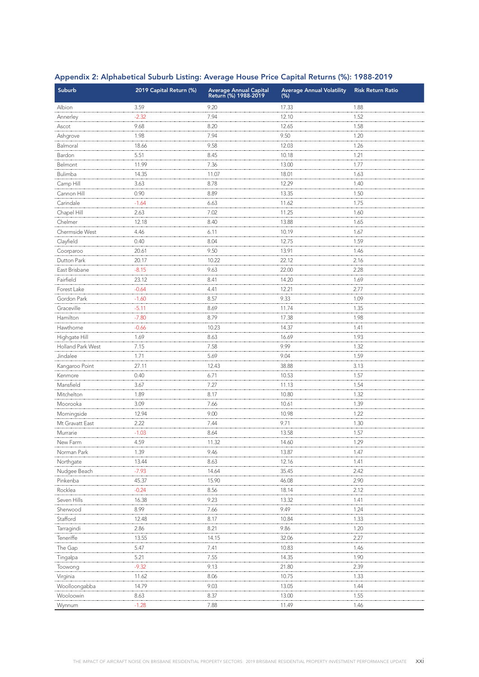| Suburb            | 2019 Capital Return (%) | Average Annual Capital<br>Return (%) 1988-2019 | <b>Average Annual Volatility</b><br>$(\%)$ | <b>Risk Return Ratio</b> |
|-------------------|-------------------------|------------------------------------------------|--------------------------------------------|--------------------------|
| Albion            | 3.59                    | 9.20                                           | 17.33                                      | 1.88                     |
| Annerley          | $-2.32$                 | 7.94                                           | 12.10                                      | 1.52                     |
| Ascot             | 9.68                    | 8.20                                           | 12.65                                      | 1.58                     |
| Ashgrove          | 1.98                    | 7.94                                           | 9.50                                       | 1.20                     |
| Balmoral          | 18.66                   | 9.58                                           | 12.03                                      | 1.26                     |
| Bardon            | 5.51                    | 8.45                                           | 10.18                                      | 1.21                     |
| Belmont           | 11.99                   | 7.36                                           | 13.00                                      | 1.77                     |
| Bulimba           | 14.35                   | 11.07                                          | 18.01                                      | 1.63                     |
| Camp Hill         | 3.63                    | 8.78                                           | 12.29                                      | 1.40                     |
| Cannon Hill       | 0.90                    | 8.89                                           | 13.35                                      | 1.50                     |
| Carindale         | $-1.64$                 | 6.63                                           | 11.62                                      | 1.75                     |
| Chapel Hill       | 2.63                    | 7.02                                           | 11.25                                      | 1.60                     |
| Chelmer           | 12.18                   | 8.40                                           | 13.88                                      | 1.65                     |
| Chermside West    | 4.46                    | 6.11                                           | 10.19                                      | 1.67                     |
| Clayfield         | 0.40                    | 8.04                                           | 12.75                                      | 1.59                     |
| Coorparoo         | 20.61                   | 9.50                                           | 13.91                                      | 1.46                     |
| Dutton Park       | 20.17                   | 10.22                                          | 22.12                                      | 2.16                     |
| East Brisbane     | $-8.15$                 | 9.63                                           | 22.00                                      | 2.28                     |
| Fairfield         | 23.12                   | 8.41                                           | 14.20                                      | 1.69                     |
| Forest Lake       | $-0.64$                 | 4.41                                           | 12.21                                      | 2.77                     |
| Gordon Park       | $-1.60$                 | 8.57                                           | 9.33                                       | 1.09                     |
| Graceville        | $-5.11$                 | 8.69                                           | 11.74                                      | 1.35                     |
| Hamilton          | $-7.80$                 | 8.79                                           | 17.38                                      | 1.98                     |
| Hawthorne         | $-0.66$                 | 10.23                                          | 14.37                                      | 1.41                     |
| Highgate Hill     | 1.69                    | 8.63                                           | 16.69                                      | 1.93                     |
| Holland Park West | 7.15                    | 7.58                                           | 9.99                                       | 1.32                     |
| Jindalee          | 1.71                    | 5.69                                           | 9.04                                       | 1.59                     |
| Kangaroo Point    | 27.11                   | 12.43                                          | 38.88                                      | 3.13                     |
| Kenmore           | 0.40                    | 6.71                                           | 10.53                                      | 1.57                     |
| Mansfield         | 3.67                    | 7.27                                           | 11.13                                      | 1.54                     |
| Mitchelton        | 1.89                    | 8.17                                           | 10.80                                      | 1.32                     |
| Moorooka          | 3.09                    | 7.66                                           | 10.61                                      | 1.39                     |
| Morningside       | 12.94                   | 9.00                                           | 10.98                                      | 1.22                     |
| Mt Gravatt East   | 2.22                    | 7.44                                           | 9.71                                       | 1.30                     |
| Murrarie          | $-1.03$                 | 8.64                                           | 13.58                                      | 1.57                     |
| New Farm          | 4.59                    | 11.32                                          | 14.60                                      | 1.29                     |
| Norman Park       | 1.39                    | 9.46                                           | 13.87                                      | 1.47                     |
| Northgate         | 13.44                   | 8.63                                           | 12.16                                      | 1.41                     |
| Nudgee Beach      | $-7.93$                 | 14.64                                          | 35.45                                      | 2.42                     |
| Pinkenba          | 45.37                   | 15.90                                          | 46.08                                      | 2.90                     |
| Rocklea           | $-0.24$                 | 8.56                                           | 18.14                                      | 2.12                     |
| Seven Hills       | 16.38                   | 9.23                                           | 13.32                                      | 1.41                     |
| Sherwood          | 8.99                    | 7.66                                           | 9.49                                       | 1.24                     |
| Stafford          | 12.48                   | 8.17                                           | 10.84                                      | 1.33                     |
| Tarragindi        | 2.86                    | 8.21                                           | 9.86                                       | 1.20                     |
| Teneriffe         | 13.55                   | 14.15                                          | 32.06                                      | 2.27                     |
| The Gap           | 5.47                    | 7.41                                           | 10.83                                      | 1.46                     |
| Tingalpa          | 5.21                    | 7.55                                           | 14.35                                      | 1.90                     |
| Toowong           | $-9.32$                 | 9.13                                           | 21.80                                      | 2.39                     |
| Virginia          | 11.62                   | 8.06                                           | 10.75                                      | 1.33                     |
| Woolloongabba     | 14.79                   | 9.03                                           | 13.05                                      | 1.44                     |
| Wooloowin         | 8.63                    | 8.37                                           | 13.00                                      | 1.55                     |
| Wynnum            | $-1.28$                 | 7.88                                           | 11.49                                      | 1.46                     |

### Appendix 2: Alphabetical Suburb Listing: Average House Price Capital Returns (%): 1988-2019